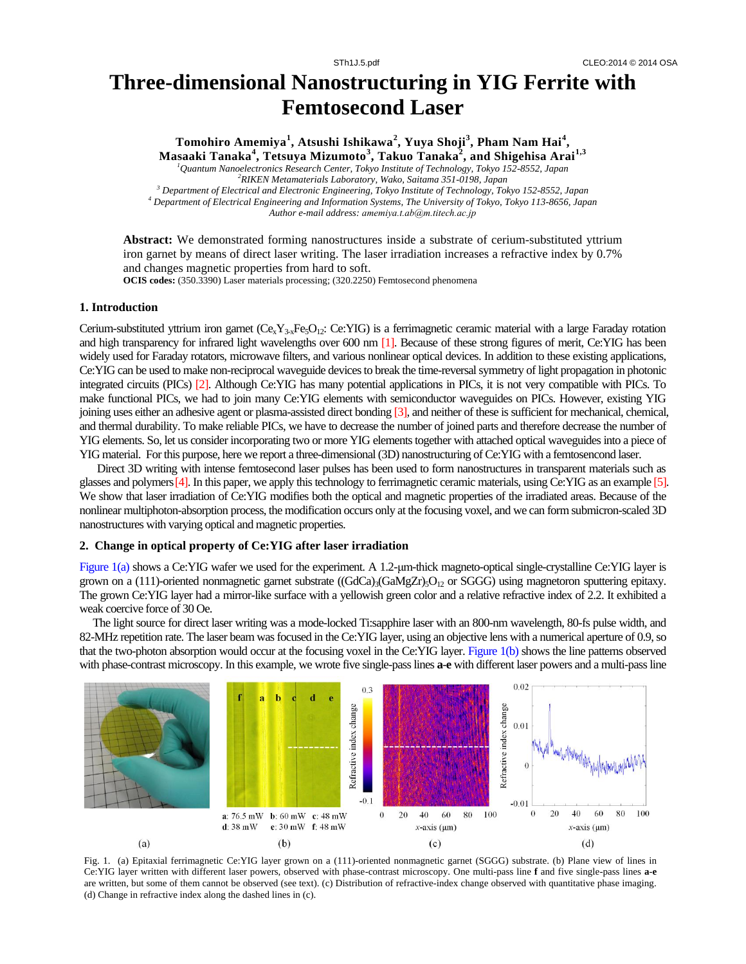# **Three-dimensional Nanostructuring in YIG Ferrite with Femtosecond Laser**

**Tomohiro Amemiya<sup>1</sup> , Atsushi Ishikawa<sup>2</sup> , Yuya Shoji<sup>3</sup> , Pham Nam Hai<sup>4</sup> , Masaaki Tanaka<sup>4</sup> , Tetsuya Mizumoto<sup>3</sup> , Takuo Tanaka<sup>2</sup> , and Shigehisa Arai1,3**

*<sup>1</sup>Quantum Nanoelectronics Research Center, Tokyo Institute of Technology, Tokyo 152-8552, Japan <sup>2</sup>RIKEN Metamaterials Laboratory, Wako, Saitama 351-0198, Japan*

*<sup>3</sup> Department of Electrical and Electronic Engineering, Tokyo Institute of Technology, Tokyo 152-8552, Japan <sup>4</sup> Department of Electrical Engineering and Information Systems, The University of Tokyo, Tokyo 113-8656, Japan Author e-mail address: amemiya.t.ab@m.titech.ac.jp*

**Abstract:** We demonstrated forming nanostructures inside a substrate of cerium-substituted yttrium iron garnet by means of direct laser writing. The laser irradiation increases a refractive index by 0.7% and changes magnetic properties from hard to soft.

**OCIS codes:** (350.3390) Laser materials processing; (320.2250) Femtosecond phenomena

### **1. Introduction**

Cerium-substituted yttrium iron garnet  $(C_{\rm x}Y_{3\times\rm Fe_3O_{12}})$ : Ce:YIG) is a ferrimagnetic ceramic material with a large Faraday rotation and high transparency for infrared light wavelengths over 600 nm [1]. Because of these strong figures of merit, Ce:YIG has been widely used for Faraday rotators, microwave filters, and various nonlinear optical devices. In addition to these existing applications, Ce:YIG can be used to make non-reciprocal waveguide devices to break the time-reversal symmetry of light propagation in photonic integrated circuits (PICs) [2]. Although Ce:YIG has many potential applications in PICs, it is not very compatible with PICs. To make functional PICs, we had to join many Ce:YIG elements with semiconductor waveguides on PICs. However, existing YIG joining uses either an adhesive agent or plasma-assisted direct bonding [3], and neither of these is sufficient for mechanical, chemical, and thermal durability. To make reliable PICs, we have to decrease the number of joined parts and therefore decrease the number of YIG elements. So, let us consider incorporating two or more YIG elements together with attached optical waveguides into a piece of YIG material. For this purpose, here we report a three-dimensional (3D) nanostructuring of Ce:YIG with a femtosencond laser.

Direct 3D writing with intense femtosecond laser pulses has been used to form nanostructures in transparent materials such as glasses and polymers[4]. In this paper, we apply this technology to ferrimagnetic ceramic materials, using Ce:YIG as an example [5]. We show that laser irradiation of Ce:YIG modifies both the optical and magnetic properties of the irradiated areas. Because of the nonlinear multiphoton-absorption process, the modification occurs only at the focusing voxel, and we can form submicron-scaled 3D nanostructures with varying optical and magnetic properties.

#### **2. Change in optical property of Ce:YIG after laser irradiation**

Figure 1(a) shows a Ce:YIG wafer we used for the experiment. A 1.2-μm-thick magneto-optical single-crystalline Ce:YIG layer is grown on a (111)-oriented nonmagnetic garnet substrate ( $(GdCa)$ <sub>3</sub> $(GdMgZr)$ <sub>5</sub>O<sub>12</sub> or SGGG) using magnetoron sputtering epitaxy. The grown Ce:YIG layer had a mirror-like surface with a yellowish green color and a relative refractive index of 2.2. It exhibited a weak coercive force of 30 Oe.

The light source for direct laser writing was a mode-locked Ti:sapphire laser with an 800-nm wavelength, 80-fs pulse width, and 82-MHz repetition rate. The laser beam was focused in the Ce:YIG layer, using an objective lens with a numerical aperture of 0.9, so that the two-photon absorption would occur at the focusing voxel in the Ce:YIG layer. Figure 1(b) shows the line patterns observed with phase-contrast microscopy. In this example, we wrote five single-pass lines **a**-**e** with different laser powers and a multi-pass line



Fig. 1. (a) Epitaxial ferrimagnetic Ce:YIG layer grown on a (111)-oriented nonmagnetic garnet (SGGG) substrate. (b) Plane view of lines in Ce:YIG layer written with different laser powers, observed with phase-contrast microscopy. One multi-pass line **f** and five single-pass lines **a**-**e** are written, but some of them cannot be observed (see text). (c) Distribution of refractive-index change observed with quantitative phase imaging. (d) Change in refractive index along the dashed lines in (c).